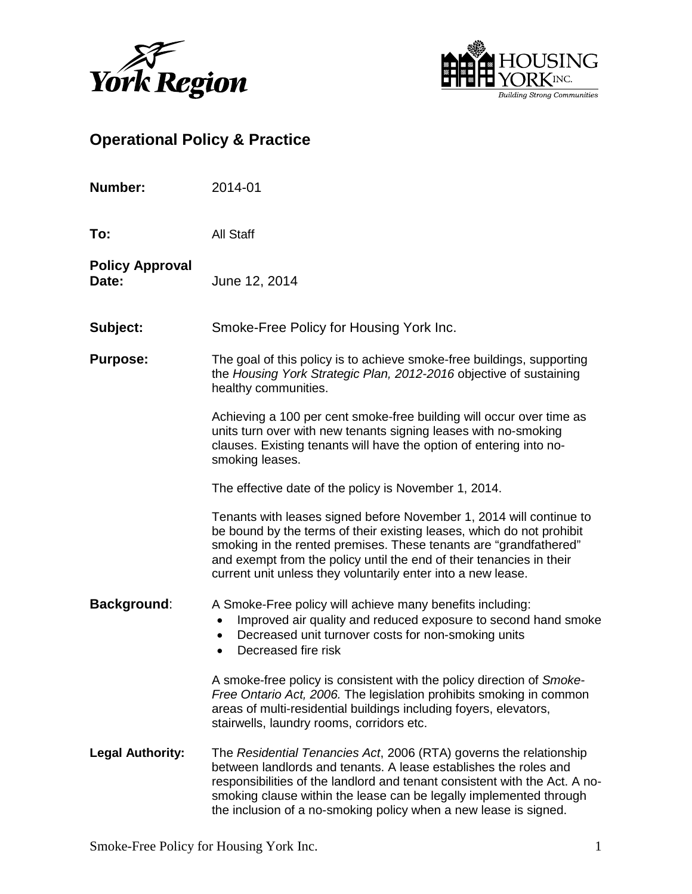



# **Operational Policy & Practice**

| Number:                         | 2014-01                                                                                                                                                                                                                                                                                                                                                        |
|---------------------------------|----------------------------------------------------------------------------------------------------------------------------------------------------------------------------------------------------------------------------------------------------------------------------------------------------------------------------------------------------------------|
| To:                             | <b>All Staff</b>                                                                                                                                                                                                                                                                                                                                               |
| <b>Policy Approval</b><br>Date: | June 12, 2014                                                                                                                                                                                                                                                                                                                                                  |
| Subject:                        | Smoke-Free Policy for Housing York Inc.                                                                                                                                                                                                                                                                                                                        |
| <b>Purpose:</b>                 | The goal of this policy is to achieve smoke-free buildings, supporting<br>the Housing York Strategic Plan, 2012-2016 objective of sustaining<br>healthy communities.                                                                                                                                                                                           |
|                                 | Achieving a 100 per cent smoke-free building will occur over time as<br>units turn over with new tenants signing leases with no-smoking<br>clauses. Existing tenants will have the option of entering into no-<br>smoking leases.                                                                                                                              |
|                                 | The effective date of the policy is November 1, 2014.                                                                                                                                                                                                                                                                                                          |
|                                 | Tenants with leases signed before November 1, 2014 will continue to<br>be bound by the terms of their existing leases, which do not prohibit<br>smoking in the rented premises. These tenants are "grandfathered"<br>and exempt from the policy until the end of their tenancies in their<br>current unit unless they voluntarily enter into a new lease.      |
| <b>Background:</b>              | A Smoke-Free policy will achieve many benefits including:<br>Improved air quality and reduced exposure to second hand smoke<br>Decreased unit turnover costs for non-smoking units<br>٠<br>Decreased fire risk<br>$\bullet$                                                                                                                                    |
|                                 | A smoke-free policy is consistent with the policy direction of Smoke-<br>Free Ontario Act, 2006. The legislation prohibits smoking in common<br>areas of multi-residential buildings including foyers, elevators,<br>stairwells, laundry rooms, corridors etc.                                                                                                 |
| <b>Legal Authority:</b>         | The Residential Tenancies Act, 2006 (RTA) governs the relationship<br>between landlords and tenants. A lease establishes the roles and<br>responsibilities of the landlord and tenant consistent with the Act. A no-<br>smoking clause within the lease can be legally implemented through<br>the inclusion of a no-smoking policy when a new lease is signed. |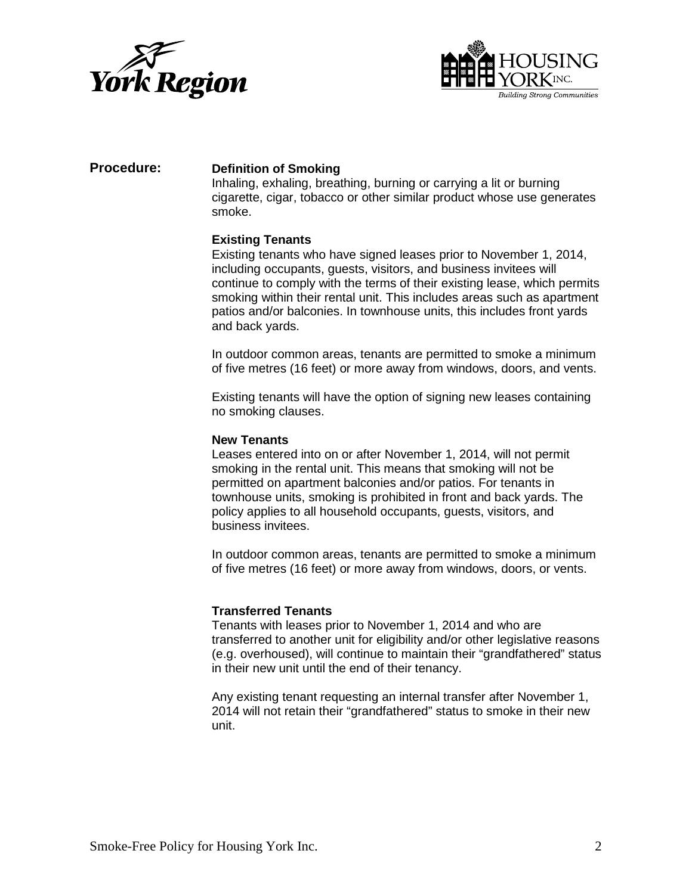



### **Procedure: Definition of Smoking**

Inhaling, exhaling, breathing, burning or carrying a lit or burning cigarette, cigar, tobacco or other similar product whose use generates smoke.

## **Existing Tenants**

Existing tenants who have signed leases prior to November 1, 2014, including occupants, guests, visitors, and business invitees will continue to comply with the terms of their existing lease, which permits smoking within their rental unit. This includes areas such as apartment patios and/or balconies. In townhouse units, this includes front yards and back yards.

In outdoor common areas, tenants are permitted to smoke a minimum of five metres (16 feet) or more away from windows, doors, and vents.

Existing tenants will have the option of signing new leases containing no smoking clauses.

#### **New Tenants**

Leases entered into on or after November 1, 2014, will not permit smoking in the rental unit. This means that smoking will not be permitted on apartment balconies and/or patios. For tenants in townhouse units, smoking is prohibited in front and back yards. The policy applies to all household occupants, guests, visitors, and business invitees.

In outdoor common areas, tenants are permitted to smoke a minimum of five metres (16 feet) or more away from windows, doors, or vents.

#### **Transferred Tenants**

Tenants with leases prior to November 1, 2014 and who are transferred to another unit for eligibility and/or other legislative reasons (e.g. overhoused), will continue to maintain their "grandfathered" status in their new unit until the end of their tenancy.

Any existing tenant requesting an internal transfer after November 1, 2014 will not retain their "grandfathered" status to smoke in their new unit.